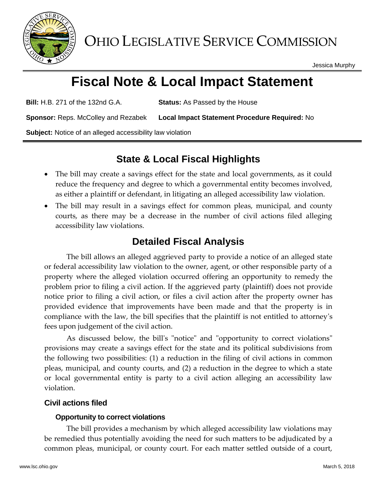

Jessica Murphy

# **Fiscal Note & Local Impact Statement**

**Bill:** H.B. 271 of the 132nd G.A. **Status:** As Passed by the House

**Sponsor:** Reps. McColley and Rezabek **Local Impact Statement Procedure Required:** No

**Subject:** Notice of an alleged accessibility law violation

## **State & Local Fiscal Highlights**

- The bill may create a savings effect for the state and local governments, as it could reduce the frequency and degree to which a governmental entity becomes involved, as either a plaintiff or defendant, in litigating an alleged accessibility law violation.
- The bill may result in a savings effect for common pleas, municipal, and county courts, as there may be a decrease in the number of civil actions filed alleging accessibility law violations.

## **Detailed Fiscal Analysis**

The bill allows an alleged aggrieved party to provide a notice of an alleged state or federal accessibility law violation to the owner, agent, or other responsible party of a property where the alleged violation occurred offering an opportunity to remedy the problem prior to filing a civil action. If the aggrieved party (plaintiff) does not provide notice prior to filing a civil action, or files a civil action after the property owner has provided evidence that improvements have been made and that the property is in compliance with the law, the bill specifies that the plaintiff is not entitled to attorney's fees upon judgement of the civil action.

As discussed below, the bill's "notice" and "opportunity to correct violations" provisions may create a savings effect for the state and its political subdivisions from the following two possibilities: (1) a reduction in the filing of civil actions in common pleas, municipal, and county courts, and (2) a reduction in the degree to which a state or local governmental entity is party to a civil action alleging an accessibility law violation.

### **Civil actions filed**

#### **Opportunity to correct violations**

The bill provides a mechanism by which alleged accessibility law violations may be remedied thus potentially avoiding the need for such matters to be adjudicated by a common pleas, municipal, or county court. For each matter settled outside of a court,